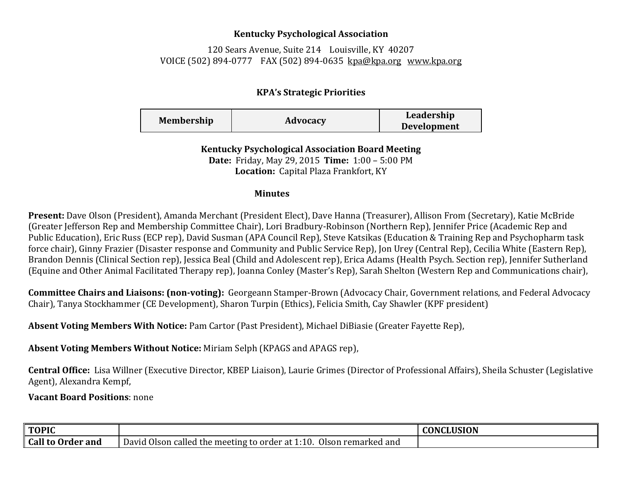## **Kentucky Psychological Association**

120 Sears Avenue, Suite 214 Louisville, KY 40207 VOICE (502) 894-0777 FAX (502) 894-0635 [kpa@kpa.org](mailto:kpa@kih.net) [www.kpa.org](http://www.kpa.org/)

## **KPA's Strategic Priorities**

| <b>Membership</b> | Advocacy | Leadership         |
|-------------------|----------|--------------------|
|                   |          | <b>Development</b> |

**Kentucky Psychological Association Board Meeting Date:** Friday, May 29, 2015 **Time:** 1:00 – 5:00 PM **Location:** Capital Plaza Frankfort, KY

## **Minutes**

**Present:** Dave Olson (President), Amanda Merchant (President Elect), Dave Hanna (Treasurer), Allison From (Secretary), Katie McBride (Greater Jefferson Rep and Membership Committee Chair), Lori Bradbury-Robinson (Northern Rep), Jennifer Price (Academic Rep and Public Education), Eric Russ (ECP rep), David Susman (APA Council Rep), Steve Katsikas (Education & Training Rep and Psychopharm task force chair), Ginny Frazier (Disaster response and Community and Public Service Rep), Jon Urey (Central Rep), Cecilia White (Eastern Rep), Brandon Dennis (Clinical Section rep), Jessica Beal (Child and Adolescent rep), Erica Adams (Health Psych. Section rep), Jennifer Sutherland (Equine and Other Animal Facilitated Therapy rep), Joanna Conley (Master's Rep), Sarah Shelton (Western Rep and Communications chair),

**Committee Chairs and Liaisons: (non-voting):** Georgeann Stamper-Brown (Advocacy Chair, Government relations, and Federal Advocacy Chair), Tanya Stockhammer (CE Development), Sharon Turpin (Ethics), Felicia Smith, Cay Shawler (KPF president)

**Absent Voting Members With Notice:** Pam Cartor (Past President), Michael DiBiasie (Greater Fayette Rep),

**Absent Voting Members Without Notice:** Miriam Selph (KPAGS and APAGS rep),

**Central Office:** Lisa Willner (Executive Director, KBEP Liaison), Laurie Grimes (Director of Professional Affairs), Sheila Schuster (Legislative Agent), Alexandra Kempf,

**Vacant Board Positions**: none

| ∥ TOPIC                |                                                                             | <b>CONCLUSION</b> |
|------------------------|-----------------------------------------------------------------------------|-------------------|
| Call<br>l to Order and | David Olson called the meeting to order at 1<br>Olson remarked and<br>1:10. |                   |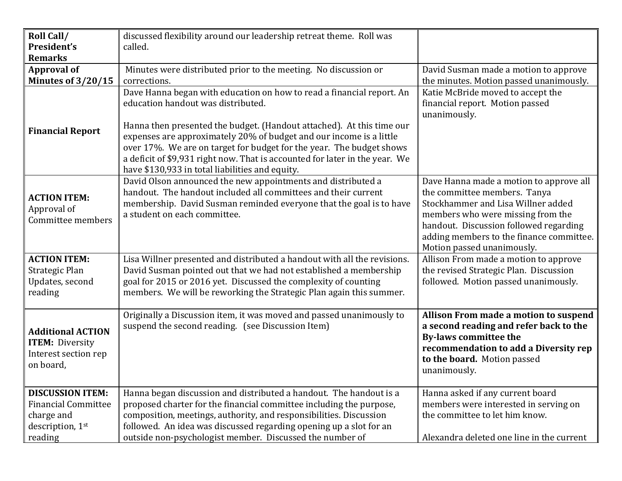| Roll Call/<br>President's                                                                          | discussed flexibility around our leadership retreat theme. Roll was<br>called.                                                                                                                                                                                                                                                                    |                                                                                                                                                                                                                                                                        |
|----------------------------------------------------------------------------------------------------|---------------------------------------------------------------------------------------------------------------------------------------------------------------------------------------------------------------------------------------------------------------------------------------------------------------------------------------------------|------------------------------------------------------------------------------------------------------------------------------------------------------------------------------------------------------------------------------------------------------------------------|
| <b>Remarks</b>                                                                                     |                                                                                                                                                                                                                                                                                                                                                   |                                                                                                                                                                                                                                                                        |
| <b>Approval of</b>                                                                                 | Minutes were distributed prior to the meeting. No discussion or                                                                                                                                                                                                                                                                                   | David Susman made a motion to approve                                                                                                                                                                                                                                  |
| Minutes of $3/20/15$                                                                               | corrections.                                                                                                                                                                                                                                                                                                                                      | the minutes. Motion passed unanimously.                                                                                                                                                                                                                                |
| <b>Financial Report</b>                                                                            | Dave Hanna began with education on how to read a financial report. An<br>education handout was distributed.<br>Hanna then presented the budget. (Handout attached). At this time our<br>expenses are approximately 20% of budget and our income is a little                                                                                       | Katie McBride moved to accept the<br>financial report. Motion passed<br>unanimously.                                                                                                                                                                                   |
|                                                                                                    | over 17%. We are on target for budget for the year. The budget shows<br>a deficit of \$9,931 right now. That is accounted for later in the year. We<br>have \$130,933 in total liabilities and equity.                                                                                                                                            |                                                                                                                                                                                                                                                                        |
| <b>ACTION ITEM:</b><br>Approval of<br>Committee members                                            | David Olson announced the new appointments and distributed a<br>handout. The handout included all committees and their current<br>membership. David Susman reminded everyone that the goal is to have<br>a student on each committee.                                                                                                             | Dave Hanna made a motion to approve all<br>the committee members. Tanya<br>Stockhammer and Lisa Willner added<br>members who were missing from the<br>handout. Discussion followed regarding<br>adding members to the finance committee.<br>Motion passed unanimously. |
| <b>ACTION ITEM:</b><br>Strategic Plan<br>Updates, second<br>reading                                | Lisa Willner presented and distributed a handout with all the revisions.<br>David Susman pointed out that we had not established a membership<br>goal for 2015 or 2016 yet. Discussed the complexity of counting<br>members. We will be reworking the Strategic Plan again this summer.                                                           | Allison From made a motion to approve<br>the revised Strategic Plan. Discussion<br>followed. Motion passed unanimously.                                                                                                                                                |
| <b>Additional ACTION</b><br><b>ITEM:</b> Diversity<br>Interest section rep<br>on board,            | Originally a Discussion item, it was moved and passed unanimously to<br>suspend the second reading. (see Discussion Item)                                                                                                                                                                                                                         | Allison From made a motion to suspend<br>a second reading and refer back to the<br><b>By-laws committee the</b><br>recommendation to add a Diversity rep<br>to the board. Motion passed<br>unanimously.                                                                |
| <b>DISCUSSION ITEM:</b><br><b>Financial Committee</b><br>charge and<br>description, 1st<br>reading | Hanna began discussion and distributed a handout. The handout is a<br>proposed charter for the financial committee including the purpose,<br>composition, meetings, authority, and responsibilities. Discussion<br>followed. An idea was discussed regarding opening up a slot for an<br>outside non-psychologist member. Discussed the number of | Hanna asked if any current board<br>members were interested in serving on<br>the committee to let him know.<br>Alexandra deleted one line in the current                                                                                                               |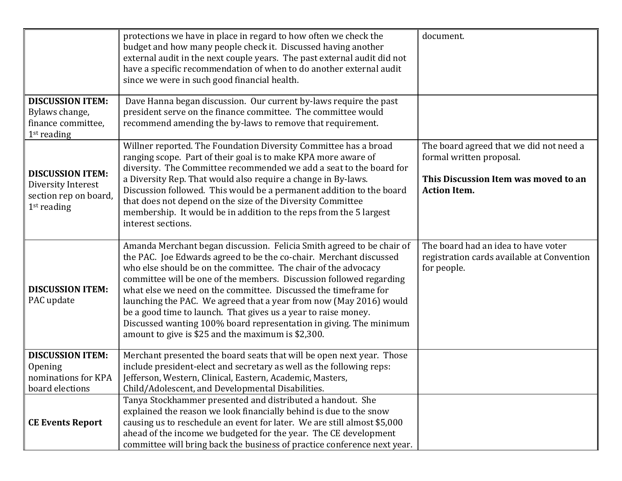|                                                                                         | protections we have in place in regard to how often we check the<br>budget and how many people check it. Discussed having another<br>external audit in the next couple years. The past external audit did not<br>have a specific recommendation of when to do another external audit<br>since we were in such good financial health.                                                                                                                                                                                                                                                                                        | document.                                                                                                                          |
|-----------------------------------------------------------------------------------------|-----------------------------------------------------------------------------------------------------------------------------------------------------------------------------------------------------------------------------------------------------------------------------------------------------------------------------------------------------------------------------------------------------------------------------------------------------------------------------------------------------------------------------------------------------------------------------------------------------------------------------|------------------------------------------------------------------------------------------------------------------------------------|
| <b>DISCUSSION ITEM:</b><br>Bylaws change,<br>finance committee,<br>$1st$ reading        | Dave Hanna began discussion. Our current by-laws require the past<br>president serve on the finance committee. The committee would<br>recommend amending the by-laws to remove that requirement.                                                                                                                                                                                                                                                                                                                                                                                                                            |                                                                                                                                    |
| <b>DISCUSSION ITEM:</b><br>Diversity Interest<br>section rep on board,<br>$1st$ reading | Willner reported. The Foundation Diversity Committee has a broad<br>ranging scope. Part of their goal is to make KPA more aware of<br>diversity. The Committee recommended we add a seat to the board for<br>a Diversity Rep. That would also require a change in By-laws.<br>Discussion followed. This would be a permanent addition to the board<br>that does not depend on the size of the Diversity Committee<br>membership. It would be in addition to the reps from the 5 largest<br>interest sections.                                                                                                               | The board agreed that we did not need a<br>formal written proposal.<br>This Discussion Item was moved to an<br><b>Action Item.</b> |
| <b>DISCUSSION ITEM:</b><br>PAC update                                                   | Amanda Merchant began discussion. Felicia Smith agreed to be chair of<br>the PAC. Joe Edwards agreed to be the co-chair. Merchant discussed<br>who else should be on the committee. The chair of the advocacy<br>committee will be one of the members. Discussion followed regarding<br>what else we need on the committee. Discussed the timeframe for<br>launching the PAC. We agreed that a year from now (May 2016) would<br>be a good time to launch. That gives us a year to raise money.<br>Discussed wanting 100% board representation in giving. The minimum<br>amount to give is \$25 and the maximum is \$2,300. | The board had an idea to have voter<br>registration cards available at Convention<br>for people.                                   |
| <b>DISCUSSION ITEM:</b><br>Opening<br>nominations for KPA<br>board elections            | Merchant presented the board seats that will be open next year. Those<br>include president-elect and secretary as well as the following reps:<br>Jefferson, Western, Clinical, Eastern, Academic, Masters,<br>Child/Adolescent, and Developmental Disabilities.                                                                                                                                                                                                                                                                                                                                                             |                                                                                                                                    |
| <b>CE Events Report</b>                                                                 | Tanya Stockhammer presented and distributed a handout. She<br>explained the reason we look financially behind is due to the snow<br>causing us to reschedule an event for later. We are still almost \$5,000<br>ahead of the income we budgeted for the year. The CE development<br>committee will bring back the business of practice conference next year.                                                                                                                                                                                                                                                                |                                                                                                                                    |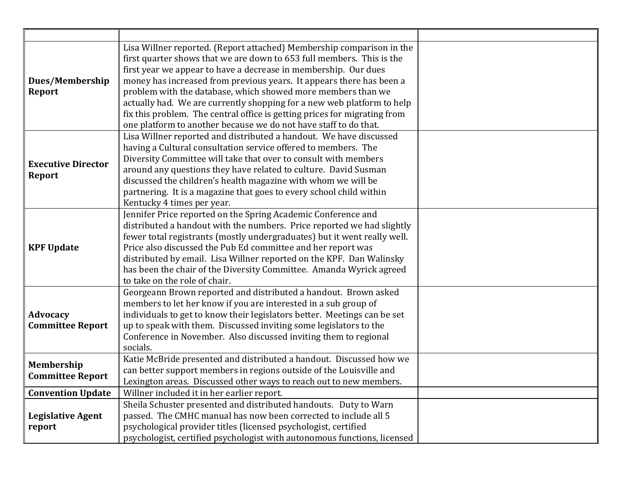| Dues/Membership<br><b>Report</b>           | Lisa Willner reported. (Report attached) Membership comparison in the<br>first quarter shows that we are down to 653 full members. This is the<br>first year we appear to have a decrease in membership. Our dues<br>money has increased from previous years. It appears there has been a<br>problem with the database, which showed more members than we<br>actually had. We are currently shopping for a new web platform to help<br>fix this problem. The central office is getting prices for migrating from<br>one platform to another because we do not have staff to do that. |  |
|--------------------------------------------|--------------------------------------------------------------------------------------------------------------------------------------------------------------------------------------------------------------------------------------------------------------------------------------------------------------------------------------------------------------------------------------------------------------------------------------------------------------------------------------------------------------------------------------------------------------------------------------|--|
| <b>Executive Director</b><br>Report        | Lisa Willner reported and distributed a handout. We have discussed<br>having a Cultural consultation service offered to members. The<br>Diversity Committee will take that over to consult with members<br>around any questions they have related to culture. David Susman<br>discussed the children's health magazine with whom we will be<br>partnering. It is a magazine that goes to every school child within<br>Kentucky 4 times per year.                                                                                                                                     |  |
| <b>KPF Update</b>                          | Jennifer Price reported on the Spring Academic Conference and<br>distributed a handout with the numbers. Price reported we had slightly<br>fewer total registrants (mostly undergraduates) but it went really well.<br>Price also discussed the Pub Ed committee and her report was<br>distributed by email. Lisa Willner reported on the KPF. Dan Walinsky<br>has been the chair of the Diversity Committee. Amanda Wyrick agreed<br>to take on the role of chair.                                                                                                                  |  |
| <b>Advocacy</b><br><b>Committee Report</b> | Georgeann Brown reported and distributed a handout. Brown asked<br>members to let her know if you are interested in a sub group of<br>individuals to get to know their legislators better. Meetings can be set<br>up to speak with them. Discussed inviting some legislators to the<br>Conference in November. Also discussed inviting them to regional<br>socials.                                                                                                                                                                                                                  |  |
| Membership<br><b>Committee Report</b>      | Katie McBride presented and distributed a handout. Discussed how we<br>can better support members in regions outside of the Louisville and<br>Lexington areas. Discussed other ways to reach out to new members.                                                                                                                                                                                                                                                                                                                                                                     |  |
| <b>Convention Update</b>                   | Willner included it in her earlier report.                                                                                                                                                                                                                                                                                                                                                                                                                                                                                                                                           |  |
| <b>Legislative Agent</b><br>report         | Sheila Schuster presented and distributed handouts. Duty to Warn<br>passed. The CMHC manual has now been corrected to include all 5<br>psychological provider titles (licensed psychologist, certified<br>psychologist, certified psychologist with autonomous functions, licensed                                                                                                                                                                                                                                                                                                   |  |